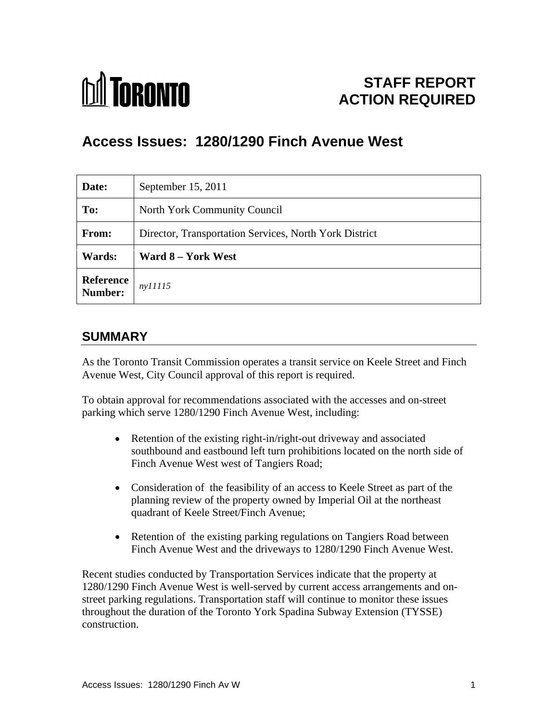

# **STAFF REPORT ACTION REQUIRED**

# **Access Issues: 1280/1290 Finch Avenue West**

| Date:                          | September 15, 2011                                     |
|--------------------------------|--------------------------------------------------------|
| To:                            | North York Community Council                           |
| From:                          | Director, Transportation Services, North York District |
| Wards:                         | Ward 8 – York West                                     |
| Reference $ny11115$<br>Number: |                                                        |

## **SUMMARY**

As the Toronto Transit Commission operates a transit service on Keele Street and Finch Avenue West, City Council approval of this report is required.

To obtain approval for recommendations associated with the accesses and on-street parking which serve 1280/1290 Finch Avenue West, including:

- Retention of the existing right-in/right-out driveway and associated  $\bullet$ southbound and eastbound left turn prohibitions located on the north side of Finch Avenue West west of Tangiers Road;
- Consideration of the feasibility of an access to Keele Street as part of the planning review of the property owned by Imperial Oil at the northeast quadrant of Keele Street/Finch Avenue;
- Retention of the existing parking regulations on Tangiers Road between  $\bullet$ Finch Avenue West and the driveways to 1280/1290 Finch Avenue West.

Recent studies conducted by Transportation Services indicate that the property at 1280/1290 Finch Avenue West is well-served by current access arrangements and on street parking regulations. Transportation staff will continue to monitor these issues throughout the duration of the Toronto York Spadina Subway Extension (TYSSE) construction.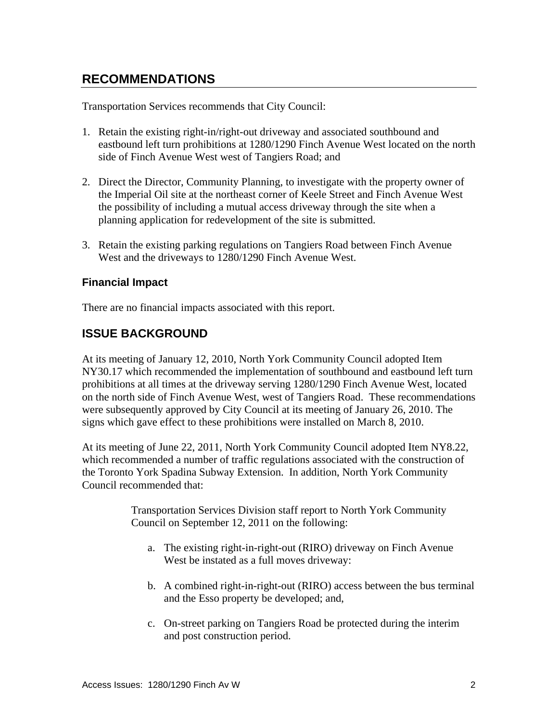## **RECOMMENDATIONS**

Transportation Services recommends that City Council:

- 1. Retain the existing right-in/right-out driveway and associated southbound and eastbound left turn prohibitions at 1280/1290 Finch Avenue West located on the north side of Finch Avenue West west of Tangiers Road; and
- 2. Direct the Director, Community Planning, to investigate with the property owner of the Imperial Oil site at the northeast corner of Keele Street and Finch Avenue West the possibility of including a mutual access driveway through the site when a planning application for redevelopment of the site is submitted.
- 3. Retain the existing parking regulations on Tangiers Road between Finch Avenue West and the driveways to 1280/1290 Finch Avenue West.

#### **Financial Impact**

There are no financial impacts associated with this report.

#### **ISSUE BACKGROUND**

At its meeting of January 12, 2010, North York Community Council adopted Item NY30.17 which recommended the implementation of southbound and eastbound left turn prohibitions at all times at the driveway serving 1280/1290 Finch Avenue West, located on the north side of Finch Avenue West, west of Tangiers Road. These recommendations were subsequently approved by City Council at its meeting of January 26, 2010. The signs which gave effect to these prohibitions were installed on March 8, 2010. At its meeting of June 22, 2011, North York Community Council adopted Item NY8.22,

which recommended a number of traffic regulations associated with the construction of the Toronto York Spadina Subway Extension. In addition, North York Community Council recommended that:

> Transportation Services Division staff report to North York Community Council on September 12, 2011 on the following:

- a. The existing right-in-right-out (RIRO) driveway on Finch Avenue West be instated as a full moves driveway:
- b. A combined right-in-right-out (RIRO) access between the bus terminal and the Esso property be developed; and,
- c. On-street parking on Tangiers Road be protected during the interim and post construction period.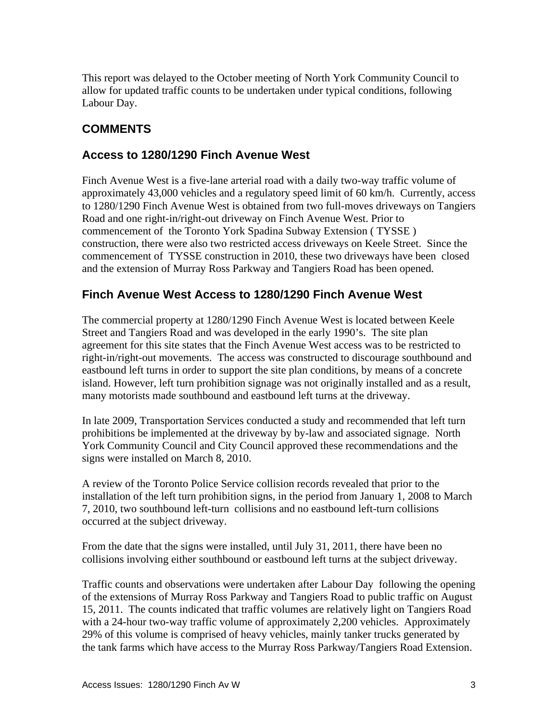This report was delayed to the October meeting of North York Community Council to allow for updated traffic counts to be undertaken under typical conditions, following Labour Day.

## **COMMENTS**

#### **Access to 1280/1290 Finch Avenue West**

Finch Avenue West is a five-lane arterial road with a daily two-way traffic volume of approximately 43,000 vehicles and a regulatory speed limit of 60 km/h. Currently, access to 1280/1290 Finch Avenue West is obtained from two full-moves driveways on Tangiers Road and one right-in/right-out driveway on Finch Avenue West. Prior to commencement of the Toronto York Spadina Subway Extension ( TYSSE ) construction, there were also two restricted access driveways on Keele Street. Since the commencement of TYSSE construction in 2010, these two driveways have been closed and the extension of Murray Ross Parkway and Tangiers Road has been opened.

### **Finch Avenue West Access to 1280/1290 Finch Avenue West**

The commercial property at 1280/1290 Finch Avenue West is located between Keele Street and Tangiers Road and was developed in the early 1990's. The site plan agreement for this site states that the Finch Avenue West access was to be restricted to right-in/right-out movements. The access was constructed to discourage southbound and eastbound left turns in order to support the site plan conditions, by means of a concrete island. However, left turn prohibition signage was not originally installed and as a result, many motorists made southbound and eastbound left turns at the driveway.

In late 2009, Transportation Services conducted a study and recommended that left turn prohibitions be implemented at the driveway by by-law and associated signage. North York Community Council and City Council approved these recommendations and the signs were installed on March 8, 2010. A review of the Toronto Police Service collision records revealed that prior to the

installation of the left turn prohibition signs, in the period from January 1, 2008 to March 7, 2010, two southbound left-turn collisions and no eastbound left-turn collisions occurred at the subject driveway.<br>From the date that the signs were installed, until July 31, 2011, there have been no

collisions involving either southbound or eastbound left turns at the subject driveway.

Traffic counts and observations were undertaken after Labour Day following the opening of the extensions of Murray Ross Parkway and Tangiers Road to public traffic on August 15, 2011. The counts indicated that traffic volumes are relatively light on Tangiers Road with a 24-hour two-way traffic volume of approximately 2,200 vehicles. Approximately 29% of this volume is comprised of heavy vehicles, mainly tanker trucks generated by the tank farms which have access to the Murray Ross Parkway/Tangiers Road Extension.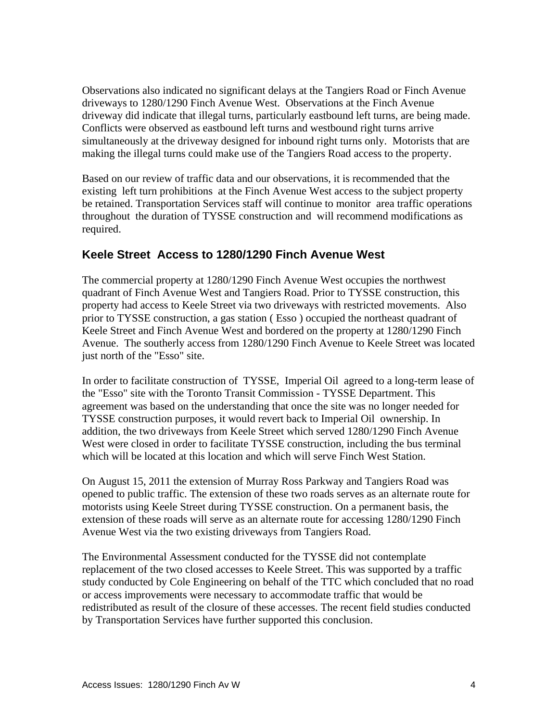Observations also indicated no significant delays at the Tangiers Road or Finch Avenue driveways to 1280/1290 Finch Avenue West. Observations at the Finch Avenue driveway did indicate that illegal turns, particularly eastbound left turns, are being made. Conflicts were observed as eastbound left turns and westbound right turns arrive simultaneously at the driveway designed for inbound right turns only. Motorists that are making the illegal turns could make use of the Tangiers Road access to the property.

Based on our review of traffic data and our observations, it is recommended that the existing left turn prohibitions at the Finch Avenue West access to the subject property be retained. Transportation Services staff will continue to monitor area traffic operations throughout the duration of TYSSE construction and will recommend modifications as required. The contract of the contract of the contract of the contract of the contract of the contract of the contract of the contract of the contract of the contract of the contract of the contract of the contract of the

#### **Keele Street Access to 1280/1290 Finch Avenue West**

The commercial property at 1280/1290 Finch Avenue West occupies the northwest quadrant of Finch Avenue West and Tangiers Road. Prior to TYSSE construction, this property had access to Keele Street via two driveways with restricted movements. Also prior to TYSSE construction, a gas station ( Esso ) occupied the northeast quadrant of Keele Street and Finch Avenue West and bordered on the property at 1280/1290 Finch Avenue. The southerly access from 1280/1290 Finch Avenue to Keele Street was located just north of the "Esso" site.

In order to facilitate construction of TYSSE, Imperial Oil agreed to a long-term lease of the "Esso" site with the Toronto Transit Commission - TYSSE Department. This agreement was based on the understanding that once the site was no longer needed for TYSSE construction purposes, it would revert back to Imperial Oil ownership. In addition, the two driveways from Keele Street which served 1280/1290 Finch Avenue West were closed in order to facilitate TYSSE construction, including the bus terminal which will be located at this location and which will serve Finch West Station.

On August 15, 2011 the extension of Murray Ross Parkway and Tangiers Road was opened to public traffic. The extension of these two roads serves as an alternate route for motorists using Keele Street during TYSSE construction. On a permanent basis, the extension of these roads will serve as an alternate route for accessing 1280/1290 Finch Avenue West via the two existing driveways from Tangiers Road.

The Environmental Assessment conducted for the TYSSE did not contemplate replacement of the two closed accesses to Keele Street. This was supported by a traffic study conducted by Cole Engineering on behalf of the TTC which concluded that no road or access improvements were necessary to accommodate traffic that would be redistributed as result of the closure of these accesses. The recent field studies conducted by Transportation Services have further supported this conclusion.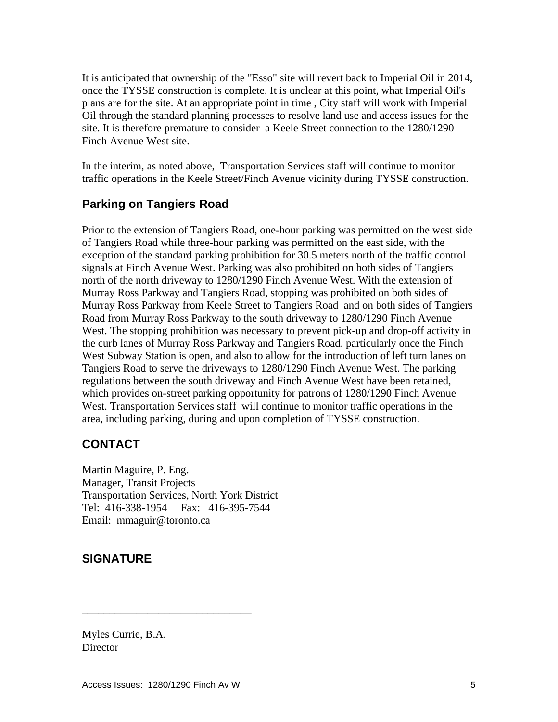It is anticipated that ownership of the "Esso" site will revert back to Imperial Oil in 2014, once the TYSSE construction is complete. It is unclear at this point, what Imperial Oil's plans are for the site. At an appropriate point in time , City staff will work with Imperial Oil through the standard planning processes to resolve land use and access issues for the site. It is therefore premature to consider a Keele Street connection to the 1280/1290 Finch Avenue West site.

In the interim, as noted above, Transportation Services staff will continue to monitor traffic operations in the Keele Street/Finch Avenue vicinity during TYSSE construction.

## **Parking on Tangiers Road**

Prior to the extension of Tangiers Road, one-hour parking was permitted on the west side of Tangiers Road while three-hour parking was permitted on the east side, with the exception of the standard parking prohibition for 30.5 meters north of the traffic control signals at Finch Avenue West. Parking was also prohibited on both sides of Tangiers north of the north driveway to 1280/1290 Finch Avenue West. With the extension of Murray Ross Parkway and Tangiers Road, stopping was prohibited on both sides of Murray Ross Parkway from Keele Street to Tangiers Road and on both sides of Tangiers Road from Murray Ross Parkway to the south driveway to 1280/1290 Finch Avenue West. The stopping prohibition was necessary to prevent pick-up and drop-off activity in the curb lanes of Murray Ross Parkway and Tangiers Road, particularly once the Finch West Subway Station is open, and also to allow for the introduction of left turn lanes on Tangiers Road to serve the driveways to 1280/1290 Finch Avenue West. The parking regulations between the south driveway and Finch Avenue West have been retained, which provides on-street parking opportunity for patrons of 1280/1290 Finch Avenue West. Transportation Services staff will continue to monitor traffic operations in the area, including parking, during and upon completion of TYSSE construction.

### **CONTACT**

Martin Maguire, P. Eng. Manager, Transit Projects Transportation Services, North York District Tel: 416-338-1954 Fax: 416-395-7544 Email: mmaguir@toronto.ca

## **SIGNATURE**

Myles Currie, B.A. **Director** 

 $\overline{\phantom{a}}$  , we can assume that the contract of  $\overline{\phantom{a}}$  , we can assume that the contract of  $\overline{\phantom{a}}$